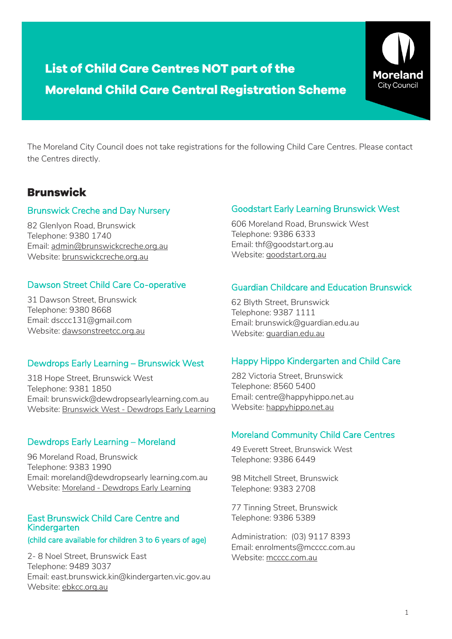# **List of Child Care Centres NOT part of the Moreland Child Care Central Registration Scheme**



The Moreland City Council does not take registrations for the following Child Care Centres. Please contact the Centres directly.

## **Brunswick**

#### Brunswick Creche and Day Nursery

82 Glenlyon Road, Brunswick Telephone: 9380 1740 Email: [admin@brunswickcreche.org.au](mailto:admin@brunswickcreche.org.au) Website: [brunswickcreche.org.au](https://brunswickcreche.org.au/)

### Dawson Street Child Care Co-operative

31 Dawson Street, Brunswick Telephone: 9380 8668 Email: dsccc131@gmail.com Website: [dawsonstreetcc.org.au](https://www.dawsonstreetcc.org.au/)

#### Dewdrops Early Learning – Brunswick West

318 Hope Street, Brunswick West Telephone: 9381 1850 Email: brunswick@dewdropsearlylearning.com.au Website: Brunswick West - [Dewdrops Early Learning](http://dewdropsearlylearning.com.au/locations/brunswick-west-dewdrops-early-learning/)

### Dewdrops Early Learning – Moreland

96 Moreland Road, Brunswick Telephone: 9383 1990 Email: moreland@dewdropsearly learning.com.au Website: Moreland - [Dewdrops Early Learning](http://dewdropsearlylearning.com.au/locations/moreland/)

### East Brunswick Child Care Centre and Kindergarten

#### (child care available for children 3 to 6 years of age)

2- 8 Noel Street, Brunswick East Telephone: 9489 3037 Email: east.brunswick.kin@kindergarten.vic.gov.au Website: [ebkcc.org.au](https://www.ebkcc.org.au/contact)

### Goodstart Early Learning Brunswick West

606 Moreland Road, Brunswick West Telephone: 9386 6333 Email: thf@goodstart.org.au Website: [goodstart.org.au](https://www.goodstart.org.au/centres/brunswick-west)

### Guardian Childcare and Education Brunswick

62 Blyth Street, Brunswick Telephone: 9387 1111 Email: brunswick@guardian.edu.au Website: [guardian.edu.au](https://www.guardian.edu.au/childcare-early-learning-centres/vic/brunswick/)

#### Happy Hippo Kindergarten and Child Care

282 Victoria Street, Brunswick Telephone: 8560 5400 Email: centre@happyhippo.net.au Website: [happyhippo.net.au](https://www.happyhippo.net.au/)

### Moreland Community Child Care Centres

49 Everett Street, Brunswick West Telephone: 9386 6449

98 Mitchell Street, Brunswick Telephone: 9383 2708

77 Tinning Street, Brunswick Telephone: 9386 5389

Administration: (03) 9117 8393 Email: [enrolments@mcccc.com.au](mailto:enrolments@mcccc.com.au) Website: [mcccc.com.au](https://mcccc.com.au/)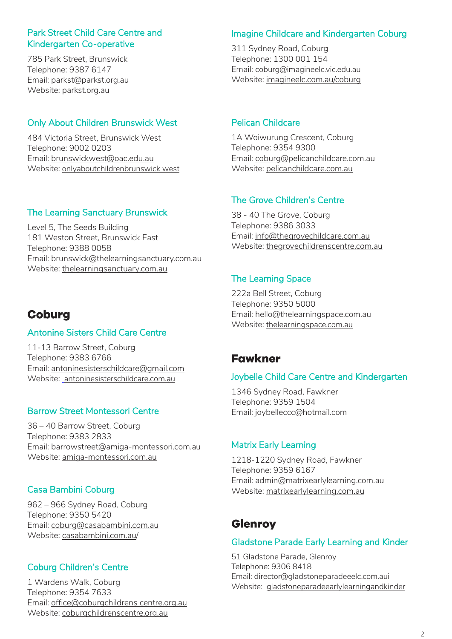### Park Street Child Care Centre and Kindergarten Co-operative

785 Park Street, Brunswick Telephone: 9387 6147 Email: parkst@parkst.org.au Website: [parkst.org.au](https://www.parkst.org.au/)

### Only About Children Brunswick West

484 Victoria Street, Brunswick West Telephone: 9002 0203 Email: [brunswickwest@oac.edu.au](mailto:brunswickwest@oac.edu.au) Website: [onlyaboutchildrenbrunswick west](https://www.oac.edu.au/our-campuses/melbourne/brunswick-west/)

### The Learning Sanctuary Brunswick

Level 5, The Seeds Building 181 Weston Street, Brunswick East Telephone: 9388 0058 Email: brunswick@thelearningsanctuary.com.au Website: [thelearningsanctuary.com.au](https://www.thelearningsanctuary.com.au/centres/childcare-east-brunswick/)

# **Coburg**

### Antonine Sisters Child Care Centre

11-13 Barrow Street, Coburg Telephone: 9383 6766 Email: [antoninesisterschildcare@gmail.com](mailto:antoninesisterschildcare@gmail.com) Website: [antoninesisterschildcare.com.au](https://www.antoninesisterschildcare.com.au/)

### Barrow Street Montessori Centre

36 – 40 Barrow Street, Coburg Telephone: 9383 2833 Email: barrowstreet@amiga-montessori.com.au Website: [amiga-montessori.com.au](https://amiga-montessori.com.au/coburg/)

### Casa Bambini Coburg

962 – 966 Sydney Road, Coburg Telephone: 9350 5420 Email: [coburg@casabambini.com.au](mailto:coburg@casabambini.com.au) Website: [casabambini.com.au](https://casabambini.com.au/)/

### Coburg Children's Centre

1 Wardens Walk, Coburg Telephone: 9354 7633 Email: [office@coburgchildrens](mailto:office@barrybeckett.org.au) centre.org.au Website: [coburgchildrenscentre.org.au](https://coburgchildrenscentre.org.au/)

## Imagine Childcare and Kindergarten Coburg

311 Sydney Road, Coburg Telephone: 1300 001 154 Email: coburg@imagineelc.vic.edu.au Website: [imagineelc.com.au/coburg](https://www.imagineelc.com.au/coburg)

### Pelican Childcare

1A Woiwurung Crescent, Coburg Telephone: 9354 9300 Email: [coburg@](mailto:coburg)pelicanchildcare.com.au Website: [pelicanchildcare.com.au](https://www.pelicanchildcare.com.au/centres/pelican-childcare-coburg/)

## The Grove Children's Centre

38 - 40 The Grove, Coburg Telephone: 9386 3033 Email: [info@thegrovechildcare.com.au](mailto:info@thegrovechildcare.com.au) Website: [thegrovechildrenscentre.com.au](https://www.thegrovechildrenscentre.com.au/)

### The Learning Space

222a Bell Street, Coburg Telephone: 9350 5000 Email: [hello@thelearningspace.com.au](mailto:hello@thelearningspace.com.au) Website: [thelearningspace.com.au](https://thelearningspace.com.au/)

# **Fawkner**

### Joybelle Child Care Centre and Kindergarten

1346 Sydney Road, Fawkner Telephone: 9359 1504 Email: [joybelleccc@hotmail.com](mailto:joybelleccc@hotmail.com)

### Matrix Early Learning

1218-1220 Sydney Road, Fawkner Telephone: 9359 6167 Email: admin@matrixearlylearning.com.au Website: [matrixearlylearning.com.au](https://www.matrixearlylearning.com.au/)

# **Glenroy**

### Gladstone Parade Early Learning and Kinder

51 Gladstone Parade, Glenroy Telephone: 9306 8418 Email: [director@gladstoneparadeeelc.com.aui](mailto:director@gladstoneparadeeelc.com.aui) Website: [gladstoneparadeearlylearningandkinder](https://earlylearningandkinder.com.au/centre/gladstone-parade/)